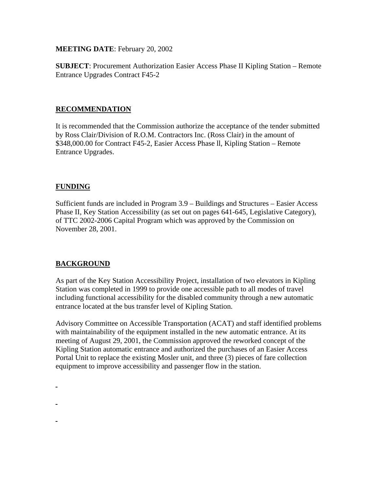**MEETING DATE**: February 20, 2002

**SUBJECT**: Procurement Authorization Easier Access Phase II Kipling Station – Remote Entrance Upgrades Contract F45-2

#### **RECOMMENDATION**

It is recommended that the Commission authorize the acceptance of the tender submitted by Ross Clair/Division of R.O.M. Contractors Inc. (Ross Clair) in the amount of \$348,000.00 for Contract F45-2, Easier Access Phase ll, Kipling Station – Remote Entrance Upgrades.

### **FUNDING**

Sufficient funds are included in Program 3.9 – Buildings and Structures – Easier Access Phase II, Key Station Accessibility (as set out on pages 641-645, Legislative Category), of TTC 2002-2006 Capital Program which was approved by the Commission on November 28, 2001.

## **BACKGROUND**

As part of the Key Station Accessibility Project, installation of two elevators in Kipling Station was completed in 1999 to provide one accessible path to all modes of travel including functional accessibility for the disabled community through a new automatic entrance located at the bus transfer level of Kipling Station.

Advisory Committee on Accessible Transportation (ACAT) and staff identified problems with maintainability of the equipment installed in the new automatic entrance. At its meeting of August 29, 2001, the Commission approved the reworked concept of the Kipling Station automatic entrance and authorized the purchases of an Easier Access Portal Unit to replace the existing Mosler unit, and three (3) pieces of fare collection equipment to improve accessibility and passenger flow in the station.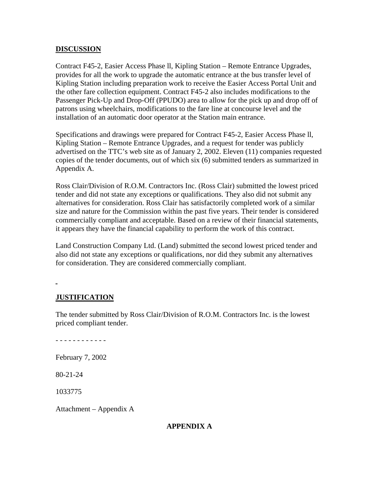#### **DISCUSSION**

Contract F45-2, Easier Access Phase ll, Kipling Station – Remote Entrance Upgrades, provides for all the work to upgrade the automatic entrance at the bus transfer level of Kipling Station including preparation work to receive the Easier Access Portal Unit and the other fare collection equipment. Contract F45-2 also includes modifications to the Passenger Pick-Up and Drop-Off (PPUDO) area to allow for the pick up and drop off of patrons using wheelchairs, modifications to the fare line at concourse level and the installation of an automatic door operator at the Station main entrance.

Specifications and drawings were prepared for Contract F45-2, Easier Access Phase ll, Kipling Station – Remote Entrance Upgrades, and a request for tender was publicly advertised on the TTC's web site as of January 2, 2002. Eleven (11) companies requested copies of the tender documents, out of which six (6) submitted tenders as summarized in Appendix A.

Ross Clair/Division of R.O.M. Contractors Inc. (Ross Clair) submitted the lowest priced tender and did not state any exceptions or qualifications. They also did not submit any alternatives for consideration. Ross Clair has satisfactorily completed work of a similar size and nature for the Commission within the past five years. Their tender is considered commercially compliant and acceptable. Based on a review of their financial statements, it appears they have the financial capability to perform the work of this contract.

Land Construction Company Ltd. (Land) submitted the second lowest priced tender and also did not state any exceptions or qualifications, nor did they submit any alternatives for consideration. They are considered commercially compliant.

#### **JUSTIFICATION**

The tender submitted by Ross Clair/Division of R.O.M. Contractors Inc. is the lowest priced compliant tender.

- - - - - - - - - - - -

February 7, 2002

80-21-24

1033775

Attachment – Appendix A

#### **APPENDIX A**